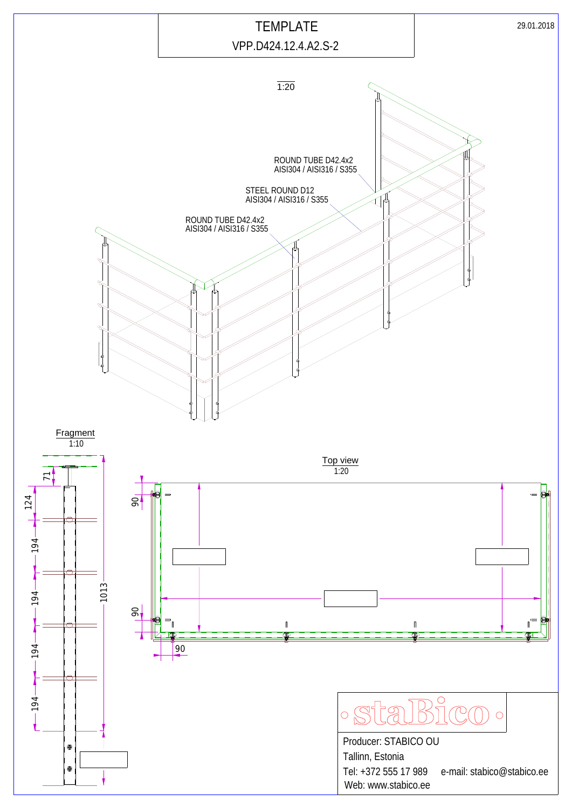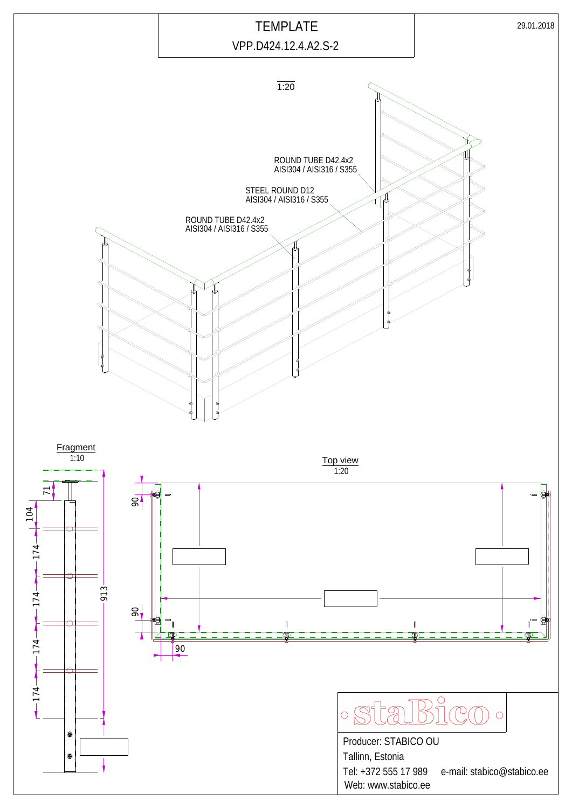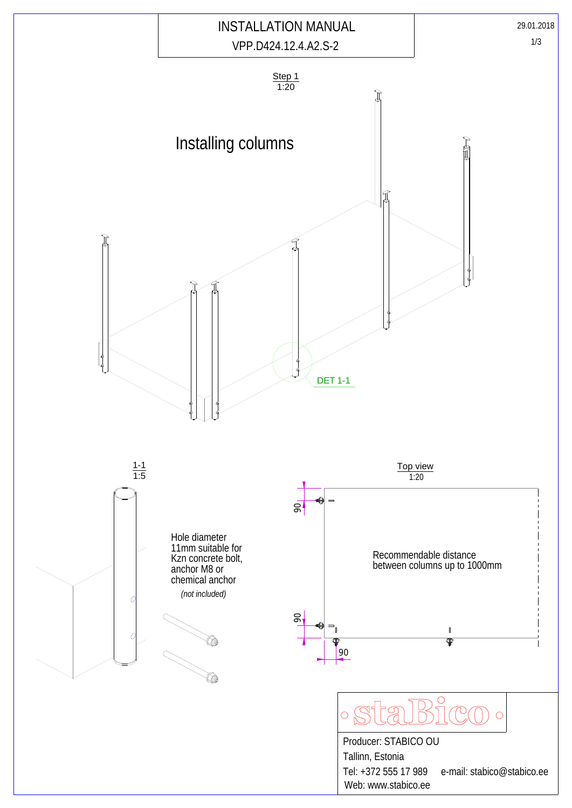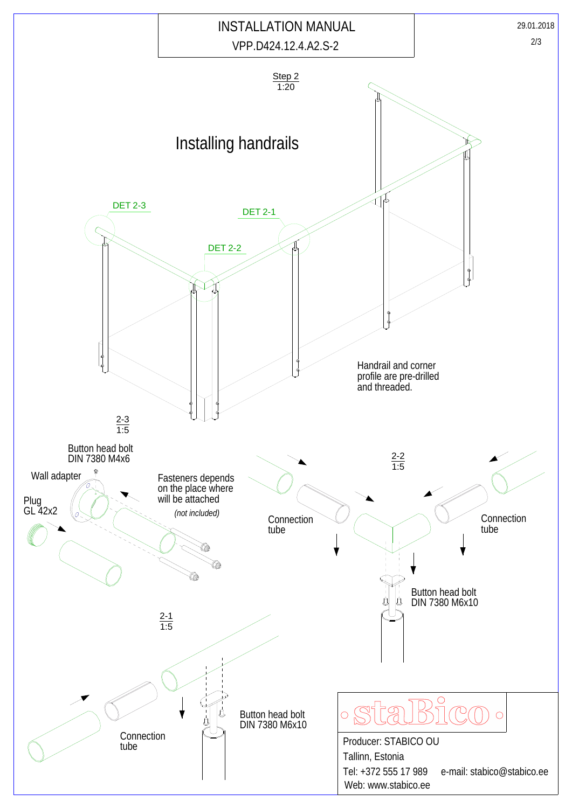